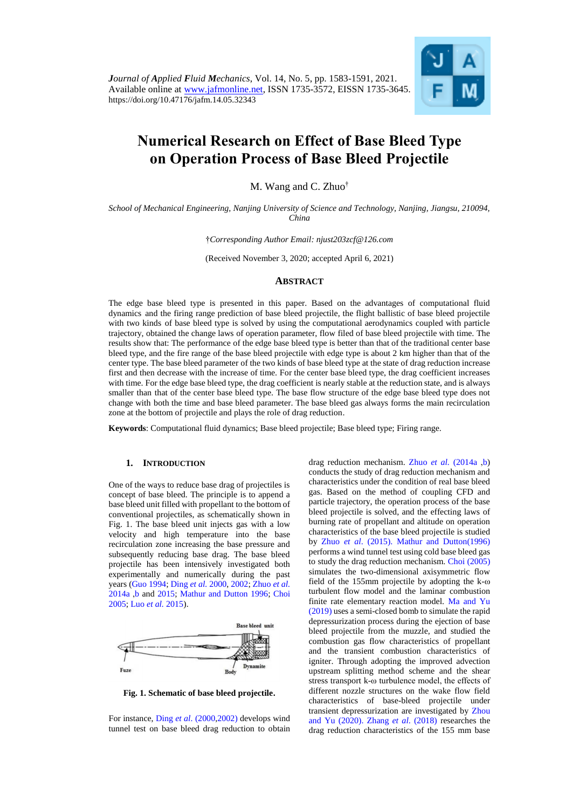

# **Numerical Research on Effect of Base Bleed Type on Operation Process of Base Bleed Projectile**

M. Wang and C. Zhuo†

*School of Mechanical Engineering, Nanjing University of Science and Technology, Nanjing, Jiangsu, 210094, China*

†*Corresponding Author Email: njust203zcf@126.com*

(Received November 3, 2020; accepted April 6, 2021)

### **ABSTRACT**

The edge base bleed type is presented in this paper. Based on the advantages of computational fluid dynamics and the firing range prediction of base bleed projectile, the flight ballistic of base bleed projectile with two kinds of base bleed type is solved by using the computational aerodynamics coupled with particle trajectory, obtained the change laws of operation parameter, flow filed of base bleed projectile with time. The results show that: The performance of the edge base bleed type is better than that of the traditional center base bleed type, and the fire range of the base bleed projectile with edge type is about 2 km higher than that of the center type. The base bleed parameter of the two kinds of base bleed type at the state of drag reduction increase first and then decrease with the increase of time. For the center base bleed type, the drag coefficient increases with time. For the edge base bleed type, the drag coefficient is nearly stable at the reduction state, and is always smaller than that of the center base bleed type. The base flow structure of the edge base bleed type does not change with both the time and base bleed parameter. The base bleed gas always forms the main recirculation zone at the bottom of projectile and plays the role of drag reduction.

**Keywords**: Computational fluid dynamics; Base bleed projectile; Base bleed type; Firing range.

#### **1. INTRODUCTION**

One of the ways to reduce base drag of projectiles is concept of base bleed. The principle is to append a base bleed unit filled with propellant to the bottom of conventional projectiles, as schematically shown in Fig. 1. The base bleed unit injects gas with a low velocity and high temperature into the base recirculation zone increasing the base pressure and subsequently reducing base drag. The base bleed projectile has been intensively investigated both experimentally and numerically during the past years [\(Guo 1994;](#page-8-0) [Ding](#page-7-0) *et al.* 2000, [2002;](#page-7-0) [Zhuo](#page-8-1) *et al.* [2014a ,b](#page-8-1) and [2015;](#page-8-1) [Mathur and Dutton 1996;](#page-8-2) [Choi](#page-7-1)  [2005;](#page-7-1) Luo *et al.* [2015\)](#page-8-3).



<span id="page-0-0"></span>**Fig. 1. Schematic of base bleed projectile.**

For instance, Ding *et al*[. \(2000,2002\)](#page-7-0) develops wind tunnel test on base bleed drag reduction to obtain drag reduction mechanism. Zhuo *et al.* [\(2014a ,b\)](#page-8-1) conducts the study of drag reduction mechanism and characteristics under the condition of real base bleed gas. Based on the method of coupling CFD and particle trajectory, the operation process of the base bleed projectile is solved, and the effecting laws of burning rate of propellant and altitude on operation characteristics of the base bleed projectile is studied by Zhuo *et al*[. \(2015\).](#page-8-1) [Mathur and Dutton\(1996\)](#page-8-2) performs a wind tunnel test using cold base bleed gas to study the drag reduction mechanism. [Choi \(2005\)](#page-7-1) simulates the two-dimensional axisymmetric flow field of the 155mm projectile by adopting the k-ω turbulent flow model and the laminar combustion finite rate elementary reaction model. [Ma and Yu](#page-8-4)  [\(2019\)](#page-8-4) uses a semi-closed bomb to simulate the rapid depressurization process during the ejection of base bleed projectile from the muzzle, and studied the combustion gas flow characteristics of propellant and the transient combustion characteristics of igniter. Through adopting the improved advection upstream splitting method scheme and the shear stress transport k-ω turbulence model, the effects of different nozzle structures on the wake flow field characteristics of base-bleed projectile under transient depressurization are investigated by [Zhou](#page-0-0)  [and Yu \(2020\).](#page-0-0) Zhang *et al*[. \(2018\)](#page-8-5) researches the drag reduction characteristics of the 155 mm base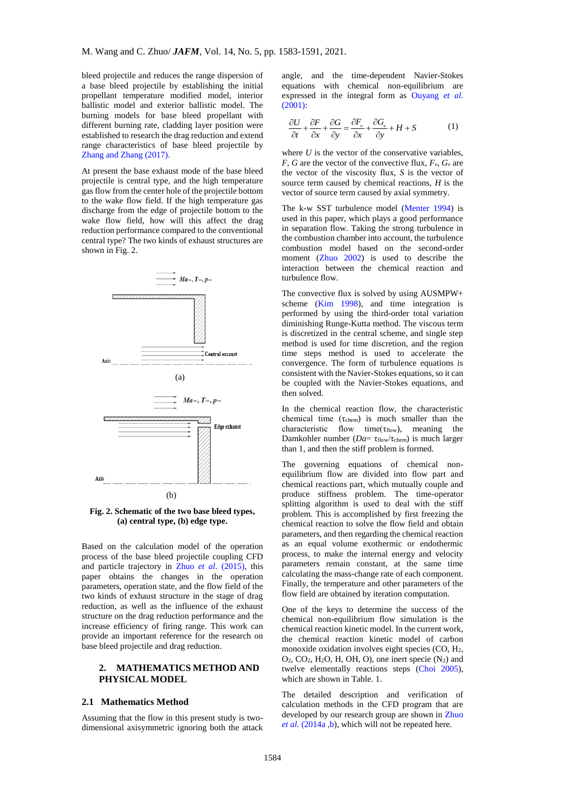bleed projectile and reduces the range dispersion of a base bleed projectile by establishing the initial propellant temperature modified model, interior ballistic model and exterior ballistic model. The burning models for base bleed propellant with different burning rate, cladding layer position were established to research the drag reduction and extend range characteristics of base bleed projectile by [Zhang and Zhang \(2017\).](#page-8-6)

At present the base exhaust mode of the base bleed projectile is central type, and the high temperature gas flow from the center hole of the projectile bottom to the wake flow field. If the high temperature gas discharge from the edge of projectile bottom to the wake flow field, how will this affect the drag reduction performance compared to the conventional central type? The two kinds of exhaust structures are shown in Fig. 2.



**Fig. 2. Schematic of the two base bleed types, (a) central type, (b) edge type.**

Based on the calculation model of the operation process of the base bleed projectile coupling CFD and particle trajectory in Zhuo *et al*[. \(2015\),](#page-8-1) this paper obtains the changes in the operation parameters, operation state, and the flow field of the two kinds of exhaust structure in the stage of drag reduction, as well as the influence of the exhaust structure on the drag reduction performance and the increase efficiency of firing range. This work can provide an important reference for the research on base bleed projectile and drag reduction.

## **2. MATHEMATICS METHOD AND PHYSICAL MODEL**

## **2.1 Mathematics Method**

Assuming that the flow in this present study is twodimensional axisymmetric ignoring both the attack

angle, and the time-dependent Navier-Stokes equations with chemical non-equilibrium are expressed in the integral form as [Ouyang](#page-8-7) *et al*.  $(2001)$ :

$$
\frac{\partial U}{\partial t} + \frac{\partial F}{\partial x} + \frac{\partial G}{\partial y} = \frac{\partial F_v}{\partial x} + \frac{\partial G_v}{\partial y} + H + S \tag{1}
$$

where  $U$  is the vector of the conservative variables, *F*, *G* are the vector of the convective flux,  $F_v$ ,  $G_v$  are the vector of the viscosity flux, *S* is the vector of source term caused by chemical reactions, *H* is the vector of source term caused by axial symmetry.

The k-w SST turbulence model [\(Menter 1994\)](#page-8-8) is used in this paper, which plays a good performance in separation flow. Taking the strong turbulence in the combustion chamber into account, the turbulence combustion model based on the second-order moment [\(Zhuo 2002\)](#page-8-1) is used to describe the interaction between the chemical reaction and turbulence flow.

The convective flux is solved by using AUSMPW+ scheme (Kim [1998\)](#page-8-1), and time integration is performed by using the third-order total variation diminishing Runge-Kutta method. The viscous term is discretized in the central scheme, and single step method is used for time discretion, and the region time steps method is used to accelerate the convergence. The form of turbulence equations is consistent with the Navier-Stokes equations, so it can be coupled with the Navier-Stokes equations, and then solved.

In the chemical reaction flow, the characteristic chemical time  $(\tau_{chem})$  is much smaller than the characteristic flow time( $\tau_{flow}$ ), meaning the Damkohler number (*Da*= τ<sub>flow</sub>/τ<sub>chem</sub>) is much larger than 1, and then the stiff problem is formed.

The governing equations of chemical nonequilibrium flow are divided into flow part and chemical reactions part, which mutually couple and produce stiffness problem. The time-operator splitting algorithm is used to deal with the stiff problem. This is accomplished by first freezing the chemical reaction to solve the flow field and obtain parameters, and then regarding the chemical reaction as an equal volume exothermic or endothermic process, to make the internal energy and velocity parameters remain constant, at the same time calculating the mass-change rate of each component. Finally, the temperature and other parameters of the flow field are obtained by iteration computation.

One of the keys to determine the success of the chemical non-equilibrium flow simulation is the chemical reaction kinetic model. In the current work, the chemical reaction kinetic model of carbon monoxide oxidation involves eight species  $(CO, H<sub>2</sub>)$ ,  $O_2$ ,  $CO_2$ ,  $H_2O$ ,  $H_1$ ,  $OH$ ,  $O$ ), one inert specie  $(N_2)$  and twelve elementally reactions steps [\(Choi](#page-7-1) 2005), which are shown in Table. 1.

The detailed description and verification of calculation methods in the CFD program that are developed by our research group are shown in [Zhuo](#page-8-1)  et al. (2014a, b), which will not be repeated here.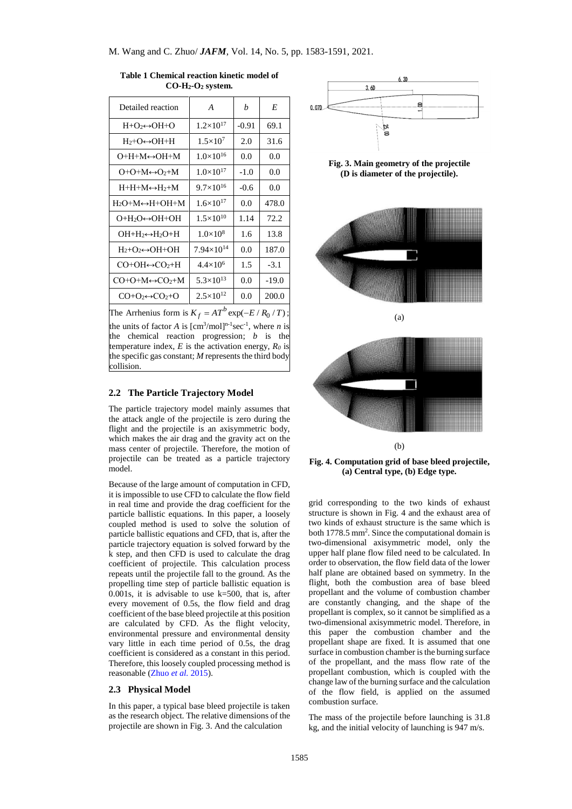| Detailed reaction                       | A                    | h       | E       |
|-----------------------------------------|----------------------|---------|---------|
| $H+O_2 \leftrightarrow OH+O$            | $1.2\times10^{17}$   | $-0.91$ | 69.1    |
| $H_2+O \leftrightarrow OH+H$            | $1.5 \times 10^{7}$  | 2.0     | 31.6    |
| $O+H+M \leftrightarrow OH+M$            | $1.0\times10^{16}$   | 0.0     | 0.0     |
| $O+O+M \leftrightarrow O+M$             | $1.0\times10^{17}$   | $-1.0$  | 0.0     |
| $H+H+M \leftrightarrow H+M$             | $9.7\times10^{16}$   | $-0.6$  | 0.0     |
| $H_2O+M \leftrightarrow H+OH+M$         | $1.6\times10^{17}$   | 0.0     | 478.0   |
| О+Н2О⇔ОН+ОН                             | $1.5\times10^{10}$   | 1.14    | 72.2    |
| ОН+Н2⇔Н2О+Н                             | $1.0\times10^{8}$    | 1.6     | 13.8    |
| $H_2 + O_2 \leftrightarrow OH + OH$     | $7.94\times10^{14}$  | 0.0     | 187.0   |
| $CO+OH \leftrightarrow CO_2+H$          | $4.4\times10^{6}$    | 1.5     | $-3.1$  |
| $CO+O+M \leftrightarrow CO_2+M$         | $5.3\times10^{13}$   | 0.0     | $-19.0$ |
| $CO + O \rightarrow CO \rightarrow + O$ | $2.5 \times 10^{12}$ | 0.0     | 200.0   |
|                                         |                      |         |         |

**Table 1 Chemical reaction kinetic model of CO-H2-O<sup>2</sup> system.**

The Arrhenius form is  $K_f = AT^b \exp(-E/R_0/T)$ ; the units of factor *A* is  $[\text{cm}^3/\text{mol}]^{n-1}$ sec<sup>-1</sup>, where *n* is the chemical reaction progression; *b* is the temperature index, *E* is the activation energy, *R<sup>0</sup>* is the specific gas constant; *M* represents the third body collision.

#### **2.2 The Particle Trajectory Model**

The particle trajectory model mainly assumes that the attack angle of the projectile is zero during the flight and the projectile is an axisymmetric body, which makes the air drag and the gravity act on the mass center of projectile. Therefore, the motion of projectile can be treated as a particle trajectory model.

Because of the large amount of computation in CFD, it is impossible to use CFD to calculate the flow field in real time and provide the drag coefficient for the particle ballistic equations. In this paper, a loosely coupled method is used to solve the solution of particle ballistic equations and CFD, that is, after the particle trajectory equation is solved forward by the k step, and then CFD is used to calculate the drag coefficient of projectile. This calculation process repeats until the projectile fall to the ground. As the propelling time step of particle ballistic equation is 0.001s, it is advisable to use  $k=500$ , that is, after every movement of 0.5s, the flow field and drag coefficient of the base bleed projectile at this position are calculated by CFD. As the flight velocity, environmental pressure and environmental density vary little in each time period of 0.5s, the drag coefficient is considered as a constant in this period. Therefore, this loosely coupled processing method is reasonable [\(Zhuo](#page-8-1) *et al.* 2015).

### **2.3 Physical Model**

In this paper, a typical base bleed projectile is taken as the research object. The relative dimensions of the projectile are shown in Fig. 3. And the calculation



**Fig. 3. Main geometry of the projectile (D is diameter of the projectile).**



(a)



(b)

**Fig. 4. Computation grid of base bleed projectile, (a) Central type, (b) Edge type.**

grid corresponding to the two kinds of exhaust structure is shown in Fig. 4 and the exhaust area of two kinds of exhaust structure is the same which is both 1778.5 mm<sup>2</sup>. Since the computational domain is two-dimensional axisymmetric model, only the upper half plane flow filed need to be calculated. In order to observation, the flow field data of the lower half plane are obtained based on symmetry. In the flight, both the combustion area of base bleed propellant and the volume of combustion chamber are constantly changing, and the shape of the propellant is complex, so it cannot be simplified as a two-dimensional axisymmetric model. Therefore, in this paper the combustion chamber and the propellant shape are fixed. It is assumed that one surface in combustion chamber is the burning surface of the propellant, and the mass flow rate of the propellant combustion, which is coupled with the change law of the burning surface and the calculation of the flow field, is applied on the assumed combustion surface.

The mass of the projectile before launching is 31.8 kg, and the initial velocity of launching is 947 m/s.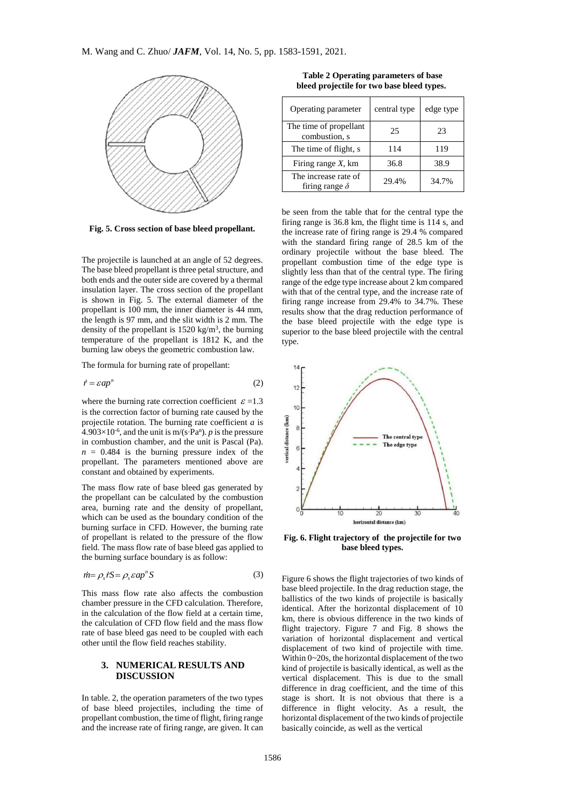

**Fig. 5. Cross section of base bleed propellant.**

The projectile is launched at an angle of 52 degrees. The base bleed propellant is three petal structure, and both ends and the outer side are covered by a thermal insulation layer. The cross section of the propellant is shown in Fig. 5. The external diameter of the propellant is 100 mm, the inner diameter is 44 mm, the length is 97 mm, and the slit width is 2 mm. The density of the propellant is  $1520 \text{ kg/m}^3$ , the burning temperature of the propellant is 1812 K, and the burning law obeys the geometric combustion law.

The formula for burning rate of propellant:

$$
\dot{r} = \varepsilon ap^n \tag{2}
$$

where the burning rate correction coefficient  $\epsilon$  =1.3 is the correction factor of burning rate caused by the projectile rotation. The burning rate coefficient *a* is  $4.903\times10^{-6}$ , and the unit is m/(s⋅Pa<sup>n</sup>). *p* is the pressure in combustion chamber, and the unit is Pascal (Pa).  $n = 0.484$  is the burning pressure index of the propellant. The parameters mentioned above are constant and obtained by experiments.

The mass flow rate of base bleed gas generated by the propellant can be calculated by the combustion area, burning rate and the density of propellant, which can be used as the boundary condition of the burning surface in CFD. However, the burning rate of propellant is related to the pressure of the flow field. The mass flow rate of base bleed gas applied to the burning surface boundary is as follow:

$$
\dot{m} = \rho_s \dot{r} S = \rho_s \varepsilon a p^n S \tag{3}
$$

This mass flow rate also affects the combustion chamber pressure in the CFD calculation. Therefore, in the calculation of the flow field at a certain time, the calculation of CFD flow field and the mass flow rate of base bleed gas need to be coupled with each other until the flow field reaches stability.

## **3. NUMERICAL RESULTS AND DISCUSSION**

In table. 2, the operation parameters of the two types of base bleed projectiles, including the time of propellant combustion, the time of flight, firing range and the increase rate of firing range, are given. It can

| bleed projectile for two base bleed types. |              |           |  |  |
|--------------------------------------------|--------------|-----------|--|--|
| Operating parameter                        | central type | edge type |  |  |
| The time of propellant<br>combustion, s    | 25           | 23        |  |  |
| The time of flight, s                      |              |           |  |  |

**Table 2 Operating parameters of base** 

| Firing range $X$ , km                                                                                                                                                                                                                                                                                                                                                                                         | 36.8  | 38.9  |
|---------------------------------------------------------------------------------------------------------------------------------------------------------------------------------------------------------------------------------------------------------------------------------------------------------------------------------------------------------------------------------------------------------------|-------|-------|
| The increase rate of<br>firing range $\delta$                                                                                                                                                                                                                                                                                                                                                                 | 29.4% | 34.7% |
| be seen from the table that for the central type the<br>firing range is 36.8 km, the flight time is 114 s, and<br>the increase rate of firing range is 29.4 % compared<br>with the standard firing range of 28.5 km of the<br>ordinary projectile without the base bleed. The<br>$\mathbf{u} = \mathbf{u} + \mathbf{u}$ and $\mathbf{u} = \mathbf{u} + \mathbf{u}$ and $\mathbf{u} = \mathbf{u} + \mathbf{u}$ |       |       |

with the standard firing range of 28.5 km of the ordinary projectile without the base bleed. The propellant combustion time of the edge type is slightly less than that of the central type. The firing range of the edge type increase about 2 km compared with that of the central type, and the increase rate of firing range increase from 29.4% to 34.7%. These results show that the drag reduction performance of the base bleed projectile with the edge type is superior to the base bleed projectile with the central type.



**Fig. 6. Flight trajectory of the projectile for two base bleed types.**

Figure 6 shows the flight trajectories of two kinds of base bleed projectile. In the drag reduction stage, the ballistics of the two kinds of projectile is basically identical. After the horizontal displacement of 10 km, there is obvious difference in the two kinds of flight trajectory. Figure 7 and Fig. 8 shows the variation of horizontal displacement and vertical displacement of two kind of projectile with time. Within 0~20s, the horizontal displacement of the two kind of projectile is basically identical, as well as the vertical displacement. This is due to the small difference in drag coefficient, and the time of this stage is short. It is not obvious that there is a difference in flight velocity. As a result, the horizontal displacement of the two kinds of projectile basically coincide, as well as the vertical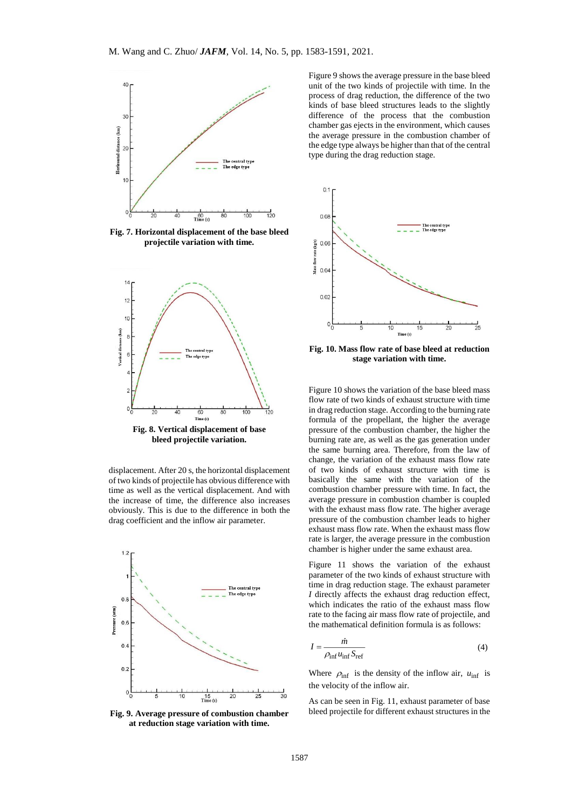

**Fig. 7. Horizontal displacement of the base bleed projectile variation with time.**



**bleed projectile variation.**

displacement. After 20 s, the horizontal displacement of two kinds of projectile has obvious difference with time as well as the vertical displacement. And with the increase of time, the difference also increases obviously. This is due to the difference in both the drag coefficient and the inflow air parameter.



**Fig. 9. Average pressure of combustion chamber at reduction stage variation with time.**

Figure 9 shows the average pressure in the base bleed unit of the two kinds of projectile with time. In the process of drag reduction, the difference of the two kinds of base bleed structures leads to the slightly difference of the process that the combustion chamber gas ejects in the environment, which causes the average pressure in the combustion chamber of the edge type always be higher than that of the central type during the drag reduction stage.



**Fig. 10. Mass flow rate of base bleed at reduction stage variation with time.**

Figure 10 shows the variation of the base bleed mass flow rate of two kinds of exhaust structure with time in drag reduction stage. According to the burning rate formula of the propellant, the higher the average pressure of the combustion chamber, the higher the burning rate are, as well as the gas generation under the same burning area. Therefore, from the law of change, the variation of the exhaust mass flow rate of two kinds of exhaust structure with time is basically the same with the variation of the combustion chamber pressure with time. In fact, the average pressure in combustion chamber is coupled with the exhaust mass flow rate. The higher average pressure of the combustion chamber leads to higher exhaust mass flow rate. When the exhaust mass flow rate is larger, the average pressure in the combustion chamber is higher under the same exhaust area.

Figure 11 shows the variation of the exhaust parameter of the two kinds of exhaust structure with time in drag reduction stage. The exhaust parameter *I* directly affects the exhaust drag reduction effect, which indicates the ratio of the exhaust mass flow rate to the facing air mass flow rate of projectile, and the mathematical definition formula is as follows:

$$
I = \frac{m}{\rho_{\inf} u_{\inf} S_{\text{ref}}}
$$
 (4)

Where  $\rho_{\text{inf}}$  is the density of the inflow air,  $u_{\text{inf}}$  is the velocity of the inflow air.

As can be seen in Fig. 11, exhaust parameter of base bleed projectile for different exhaust structures in the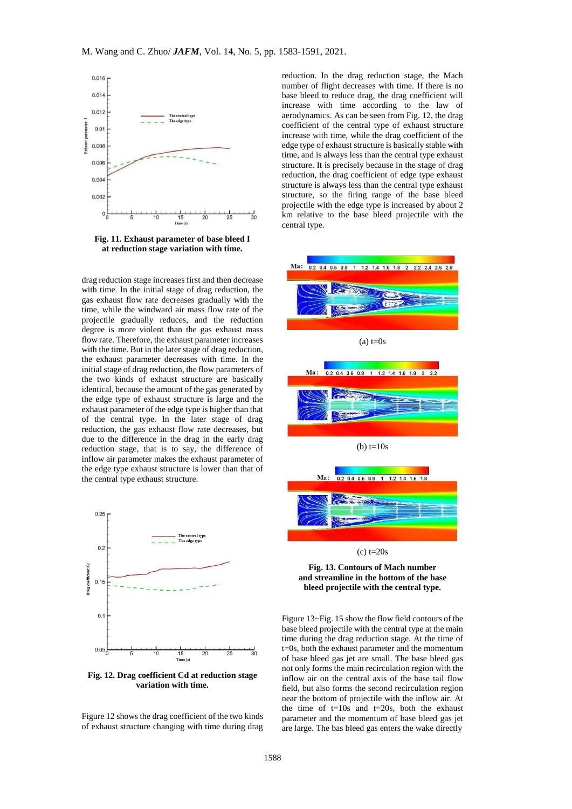

**Fig. 11. Exhaust parameter of base bleed I at reduction stage variation with time.**

drag reduction stage increases first and then decrease with time. In the initial stage of drag reduction, the gas exhaust flow rate decreases gradually with the time, while the windward air mass flow rate of the projectile gradually reduces, and the reduction degree is more violent than the gas exhaust mass flow rate. Therefore, the exhaust parameter increases with the time. But in the later stage of drag reduction, the exhaust parameter decreases with time. In the initial stage of drag reduction, the flow parameters of the two kinds of exhaust structure are basically identical, because the amount of the gas generated by the edge type of exhaust structure is large and the exhaust parameter of the edge type is higher than that of the central type. In the later stage of drag reduction, the gas exhaust flow rate decreases, but due to the difference in the drag in the early drag reduction stage, that is to say, the difference of inflow air parameter makes the exhaust parameter of the edge type exhaust structure is lower than that of the central type exhaust structure.



**Fig. 12. Drag coefficient Cd at reduction stage variation with time.**

Figure 12 shows the drag coefficient of the two kinds of exhaust structure changing with time during drag

reduction. In the drag reduction stage, the Mach number of flight decreases with time. If there is no base bleed to reduce drag, the drag coefficient will increase with time according to the law of aerodynamics. As can be seen from Fig. 12, the drag coefficient of the central type of exhaust structure increase with time, while the drag coefficient of the edge type of exhaust structure is basically stable with time, and is always less than the central type exhaust structure. It is precisely because in the stage of drag reduction, the drag coefficient of edge type exhaust structure is always less than the central type exhaust structure, so the firing range of the base bleed projectile with the edge type is increased by about 2 km relative to the base bleed projectile with the central type.





(c) t=20s

**Fig. 13. Contours of Mach number and streamline in the bottom of the base bleed projectile with the central type.**

Figure 13~Fig. 15 show the flow field contours of the base bleed projectile with the central type at the main time during the drag reduction stage. At the time of t=0s, both the exhaust parameter and the momentum of base bleed gas jet are small. The base bleed gas not only forms the main recirculation region with the inflow air on the central axis of the base tail flow field, but also forms the second recirculation region near the bottom of projectile with the inflow air. At the time of  $t=10s$  and  $t=20s$ , both the exhaust parameter and the momentum of base bleed gas jet are large. The bas bleed gas enters the wake directly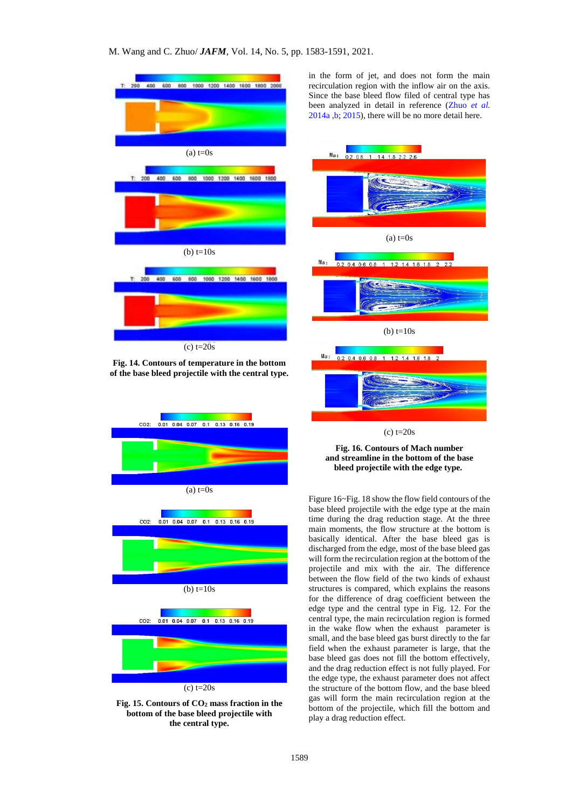

**Fig. 14. Contours of temperature in the bottom of the base bleed projectile with the central type.**





in the form of jet, and does not form the main recirculation region with the inflow air on the axis. Since the base bleed flow filed of central type has been analyzed in detail in reference [\(Zhuo](#page-8-1) *et al.* [2014a ,b;](#page-8-1) [2015\)](#page-8-1), there will be no more detail here.



**Fig. 16. Contours of Mach number and streamline in the bottom of the base bleed projectile with the edge type.**

Figure 16~Fig. 18 show the flow field contours of the base bleed projectile with the edge type at the main time during the drag reduction stage. At the three main moments, the flow structure at the bottom is basically identical. After the base bleed gas is discharged from the edge, most of the base bleed gas will form the recirculation region at the bottom of the projectile and mix with the air. The difference between the flow field of the two kinds of exhaust structures is compared, which explains the reasons for the difference of drag coefficient between the edge type and the central type in Fig. 12. For the central type, the main recirculation region is formed in the wake flow when the exhaust parameter is small, and the base bleed gas burst directly to the far field when the exhaust parameter is large, that the base bleed gas does not fill the bottom effectively, and the drag reduction effect is not fully played. For the edge type, the exhaust parameter does not affect the structure of the bottom flow, and the base bleed gas will form the main recirculation region at the bottom of the projectile, which fill the bottom and play a drag reduction effect.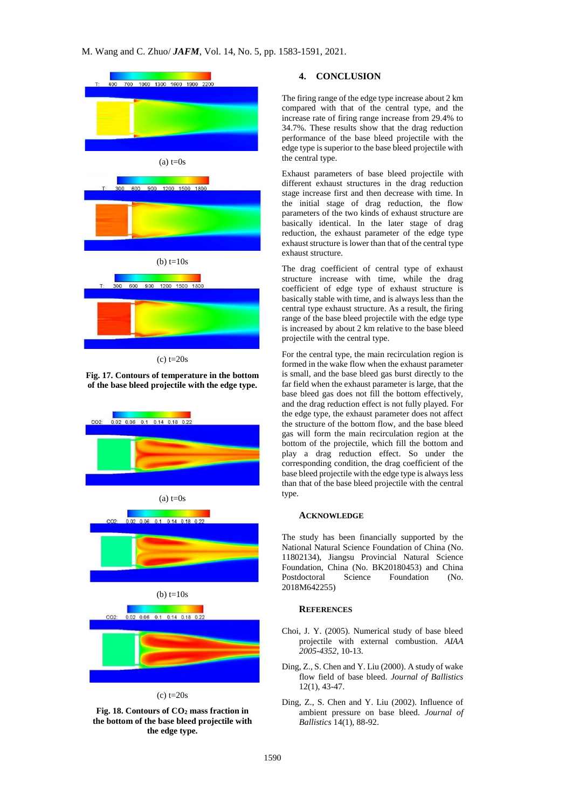

(c) t=20s

**Fig. 17. Contours of temperature in the bottom of the base bleed projectile with the edge type.**



**Fig. 18. Contours of CO<sup>2</sup> mass fraction in the bottom of the base bleed projectile with the edge type.**

## **4. CONCLUSION**

The firing range of the edge type increase about 2 km compared with that of the central type, and the increase rate of firing range increase from 29.4% to 34.7%. These results show that the drag reduction performance of the base bleed projectile with the edge type is superior to the base bleed projectile with the central type.

Exhaust parameters of base bleed projectile with different exhaust structures in the drag reduction stage increase first and then decrease with time. In the initial stage of drag reduction, the flow parameters of the two kinds of exhaust structure are basically identical. In the later stage of drag reduction, the exhaust parameter of the edge type exhaust structure is lower than that of the central type exhaust structure.

The drag coefficient of central type of exhaust structure increase with time, while the drag coefficient of edge type of exhaust structure is basically stable with time, and is always less than the central type exhaust structure. As a result, the firing range of the base bleed projectile with the edge type is increased by about 2 km relative to the base bleed projectile with the central type.

For the central type, the main recirculation region is formed in the wake flow when the exhaust parameter is small, and the base bleed gas burst directly to the far field when the exhaust parameter is large, that the base bleed gas does not fill the bottom effectively, and the drag reduction effect is not fully played. For the edge type, the exhaust parameter does not affect the structure of the bottom flow, and the base bleed gas will form the main recirculation region at the bottom of the projectile, which fill the bottom and play a drag reduction effect. So under the corresponding condition, the drag coefficient of the base bleed projectile with the edge type is always less than that of the base bleed projectile with the central type.

#### **ACKNOWLEDGE**

The study has been financially supported by the National Natural Science Foundation of China (No. 11802134), Jiangsu Provincial Natural Science Foundation, China (No. BK20180453) and China Postdoctoral Science Foundation (No. 2018M642255)

## **REFERENCES**

- <span id="page-7-1"></span>Choi, J. Y. (2005). Numerical study of base bleed projectile with external combustion. *AIAA 2005-4352*, 10-13.
- <span id="page-7-0"></span>Ding, Z., S. Chen and Y. Liu (2000). A study of wake flow field of base bleed. *Journal of Ballistics* 12(1), 43-47.
- Ding, Z., S. Chen and Y. Liu (2002). Influence of ambient pressure on base bleed. *Journal of Ballistics* 14(1), 88-92.